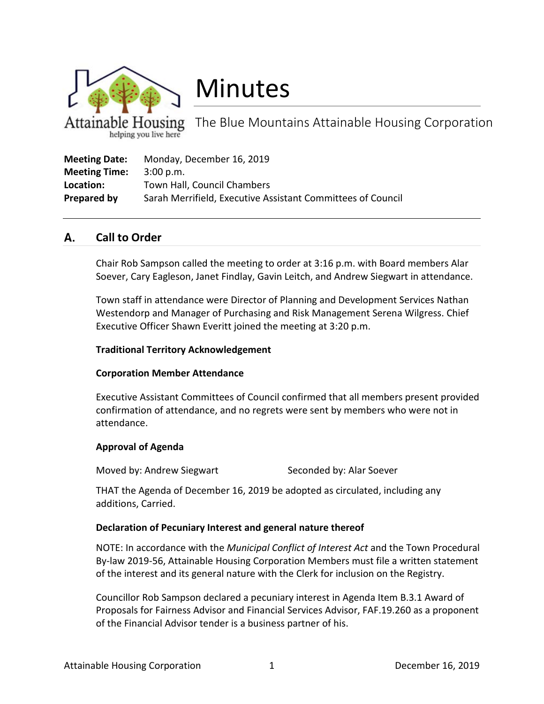

# Minutes

The Blue Mountains Attainable Housing Corporation helping you live here

| <b>Meeting Date:</b> | Monday, December 16, 2019                                   |
|----------------------|-------------------------------------------------------------|
| <b>Meeting Time:</b> | 3:00 p.m.                                                   |
| Location:            | Town Hall, Council Chambers                                 |
| Prepared by          | Sarah Merrifield, Executive Assistant Committees of Council |

#### А. **Call to Order**

Chair Rob Sampson called the meeting to order at 3:16 p.m. with Board members Alar Soever, Cary Eagleson, Janet Findlay, Gavin Leitch, and Andrew Siegwart in attendance.

Town staff in attendance were Director of Planning and Development Services Nathan Westendorp and Manager of Purchasing and Risk Management Serena Wilgress. Chief Executive Officer Shawn Everitt joined the meeting at 3:20 p.m.

### **Traditional Territory Acknowledgement**

# **Corporation Member Attendance**

Executive Assistant Committees of Council confirmed that all members present provided confirmation of attendance, and no regrets were sent by members who were not in attendance.

# **Approval of Agenda**

Moved by: Andrew Siegwart Seconded by: Alar Soever

THAT the Agenda of December 16, 2019 be adopted as circulated, including any additions, Carried.

# **Declaration of Pecuniary Interest and general nature thereof**

NOTE: In accordance with the *Municipal Conflict of Interest Act* and the Town Procedural By-law 2019-56, Attainable Housing Corporation Members must file a written statement of the interest and its general nature with the Clerk for inclusion on the Registry.

Councillor Rob Sampson declared a pecuniary interest in Agenda Item B.3.1 Award of Proposals for Fairness Advisor and Financial Services Advisor, FAF.19.260 as a proponent of the Financial Advisor tender is a business partner of his.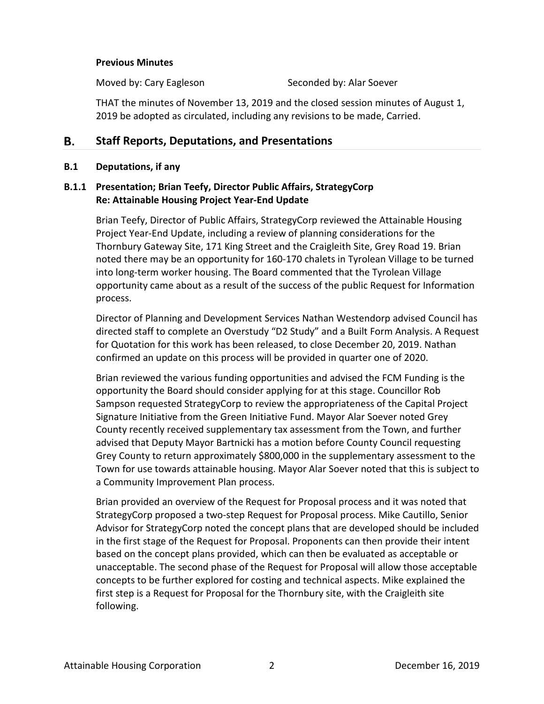### **Previous Minutes**

Moved by: Cary Eagleson Seconded by: Alar Soever

THAT the minutes of November 13, 2019 and the closed session minutes of August 1, 2019 be adopted as circulated, including any revisions to be made, Carried.

#### В. **Staff Reports, Deputations, and Presentations**

### **B.1 Deputations, if any**

# **B.1.1 Presentation; Brian Teefy, Director Public Affairs, StrategyCorp Re: Attainable Housing Project Year-End Update**

Brian Teefy, Director of Public Affairs, StrategyCorp reviewed the Attainable Housing Project Year-End Update, including a review of planning considerations for the Thornbury Gateway Site, 171 King Street and the Craigleith Site, Grey Road 19. Brian noted there may be an opportunity for 160-170 chalets in Tyrolean Village to be turned into long-term worker housing. The Board commented that the Tyrolean Village opportunity came about as a result of the success of the public Request for Information process.

Director of Planning and Development Services Nathan Westendorp advised Council has directed staff to complete an Overstudy "D2 Study" and a Built Form Analysis. A Request for Quotation for this work has been released, to close December 20, 2019. Nathan confirmed an update on this process will be provided in quarter one of 2020.

Brian reviewed the various funding opportunities and advised the FCM Funding is the opportunity the Board should consider applying for at this stage. Councillor Rob Sampson requested StrategyCorp to review the appropriateness of the Capital Project Signature Initiative from the Green Initiative Fund. Mayor Alar Soever noted Grey County recently received supplementary tax assessment from the Town, and further advised that Deputy Mayor Bartnicki has a motion before County Council requesting Grey County to return approximately \$800,000 in the supplementary assessment to the Town for use towards attainable housing. Mayor Alar Soever noted that this is subject to a Community Improvement Plan process.

Brian provided an overview of the Request for Proposal process and it was noted that StrategyCorp proposed a two-step Request for Proposal process. Mike Cautillo, Senior Advisor for StrategyCorp noted the concept plans that are developed should be included in the first stage of the Request for Proposal. Proponents can then provide their intent based on the concept plans provided, which can then be evaluated as acceptable or unacceptable. The second phase of the Request for Proposal will allow those acceptable concepts to be further explored for costing and technical aspects. Mike explained the first step is a Request for Proposal for the Thornbury site, with the Craigleith site following.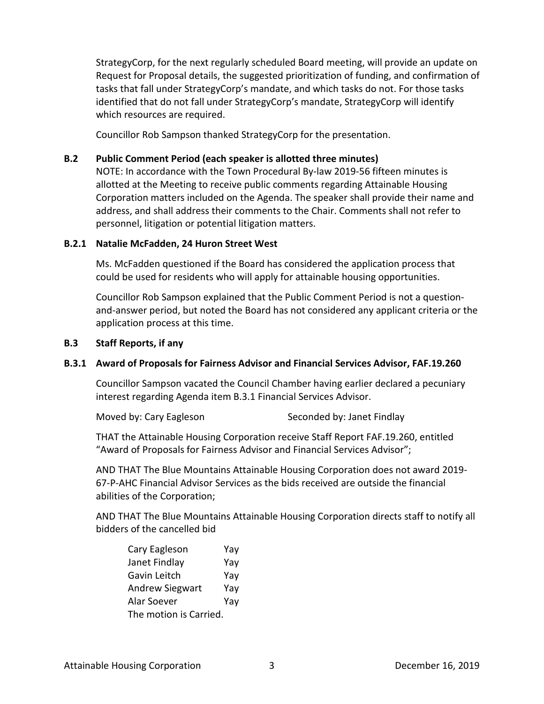StrategyCorp, for the next regularly scheduled Board meeting, will provide an update on Request for Proposal details, the suggested prioritization of funding, and confirmation of tasks that fall under StrategyCorp's mandate, and which tasks do not. For those tasks identified that do not fall under StrategyCorp's mandate, StrategyCorp will identify which resources are required.

Councillor Rob Sampson thanked StrategyCorp for the presentation.

# **B.2 Public Comment Period (each speaker is allotted three minutes)**

NOTE: In accordance with the Town Procedural By-law 2019-56 fifteen minutes is allotted at the Meeting to receive public comments regarding Attainable Housing Corporation matters included on the Agenda. The speaker shall provide their name and address, and shall address their comments to the Chair. Comments shall not refer to personnel, litigation or potential litigation matters.

# **B.2.1 Natalie McFadden, 24 Huron Street West**

Ms. McFadden questioned if the Board has considered the application process that could be used for residents who will apply for attainable housing opportunities.

Councillor Rob Sampson explained that the Public Comment Period is not a questionand-answer period, but noted the Board has not considered any applicant criteria or the application process at this time.

# **B.3 Staff Reports, if any**

# **B.3.1 Award of Proposals for Fairness Advisor and Financial Services Advisor, FAF.19.260**

Councillor Sampson vacated the Council Chamber having earlier declared a pecuniary interest regarding Agenda item B.3.1 Financial Services Advisor.

Moved by: Cary Eagleson Seconded by: Janet Findlay

THAT the Attainable Housing Corporation receive Staff Report FAF.19.260, entitled "Award of Proposals for Fairness Advisor and Financial Services Advisor";

AND THAT The Blue Mountains Attainable Housing Corporation does not award 2019- 67-P-AHC Financial Advisor Services as the bids received are outside the financial abilities of the Corporation;

AND THAT The Blue Mountains Attainable Housing Corporation directs staff to notify all bidders of the cancelled bid

| Cary Eagleson          | Yay |  |
|------------------------|-----|--|
| Janet Findlay          | Yay |  |
| Gavin Leitch           | Yay |  |
| <b>Andrew Siegwart</b> | Yay |  |
| Alar Soever            | Yay |  |
| The motion is Carried. |     |  |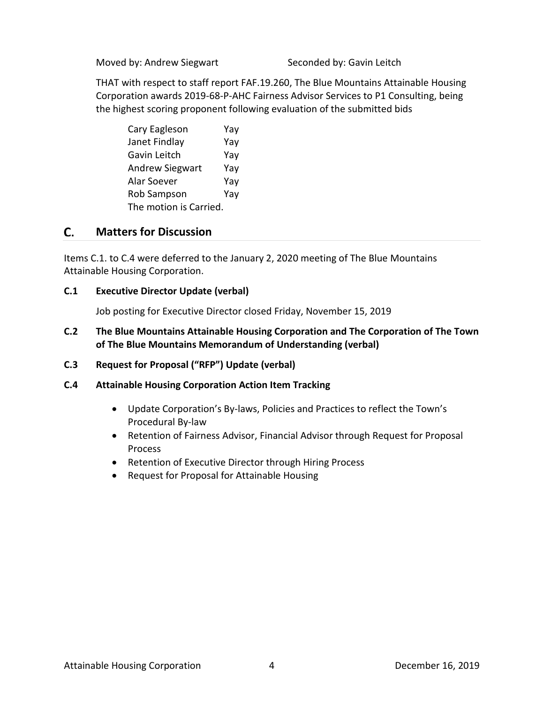Moved by: Andrew Siegwart Seconded by: Gavin Leitch

THAT with respect to staff report FAF.19.260, The Blue Mountains Attainable Housing Corporation awards 2019-68-P-AHC Fairness Advisor Services to P1 Consulting, being the highest scoring proponent following evaluation of the submitted bids

| Cary Eagleson          | Yay |  |
|------------------------|-----|--|
| Janet Findlay          | Yay |  |
| Gavin Leitch           | Yay |  |
| <b>Andrew Siegwart</b> | Yay |  |
| Alar Soever            | Yay |  |
| Rob Sampson            | Yay |  |
| The motion is Carried. |     |  |

#### $\mathsf{C}$ . **Matters for Discussion**

Items C.1. to C.4 were deferred to the January 2, 2020 meeting of The Blue Mountains Attainable Housing Corporation.

# **C.1 Executive Director Update (verbal)**

Job posting for Executive Director closed Friday, November 15, 2019

# **C.2 The Blue Mountains Attainable Housing Corporation and The Corporation of The Town of The Blue Mountains Memorandum of Understanding (verbal)**

**C.3 Request for Proposal ("RFP") Update (verbal)**

# **C.4 Attainable Housing Corporation Action Item Tracking**

- Update Corporation's By-laws, Policies and Practices to reflect the Town's Procedural By-law
- Retention of Fairness Advisor, Financial Advisor through Request for Proposal Process
- Retention of Executive Director through Hiring Process
- Request for Proposal for Attainable Housing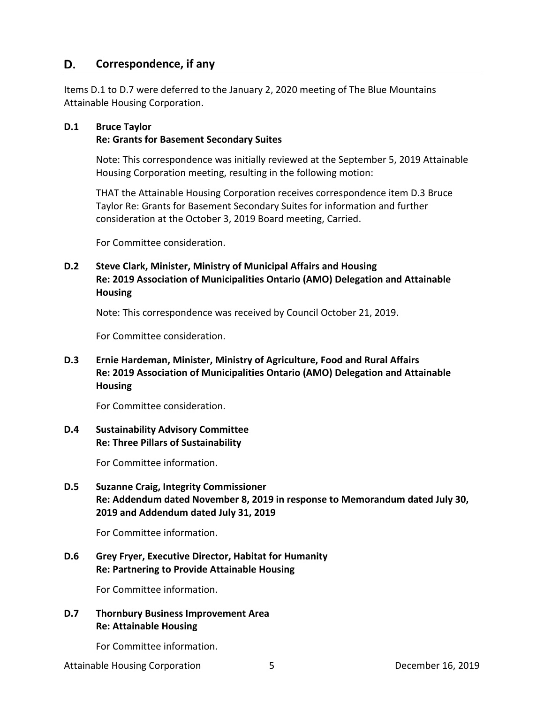#### D. **Correspondence, if any**

Items D.1 to D.7 were deferred to the January 2, 2020 meeting of The Blue Mountains Attainable Housing Corporation.

# **D.1 Bruce Taylor**

### **Re: Grants for Basement Secondary Suites**

Note: This correspondence was initially reviewed at the September 5, 2019 Attainable Housing Corporation meeting, resulting in the following motion:

THAT the Attainable Housing Corporation receives correspondence item D.3 Bruce Taylor Re: Grants for Basement Secondary Suites for information and further consideration at the October 3, 2019 Board meeting, Carried.

For Committee consideration.

# **D.2 Steve Clark, Minister, Ministry of Municipal Affairs and Housing Re: 2019 Association of Municipalities Ontario (AMO) Delegation and Attainable Housing**

Note: This correspondence was received by Council October 21, 2019.

For Committee consideration.

# **D.3 Ernie Hardeman, Minister, Ministry of Agriculture, Food and Rural Affairs Re: 2019 Association of Municipalities Ontario (AMO) Delegation and Attainable Housing**

For Committee consideration.

# **D.4 Sustainability Advisory Committee Re: Three Pillars of Sustainability**

For Committee information.

# **D.5 Suzanne Craig, Integrity Commissioner Re: Addendum dated November 8, 2019 in response to Memorandum dated July 30, 2019 and Addendum dated July 31, 2019**

For Committee information.

# **D.6 Grey Fryer, Executive Director, Habitat for Humanity Re: Partnering to Provide Attainable Housing**

For Committee information.

# **D.7 Thornbury Business Improvement Area Re: Attainable Housing**

For Committee information.